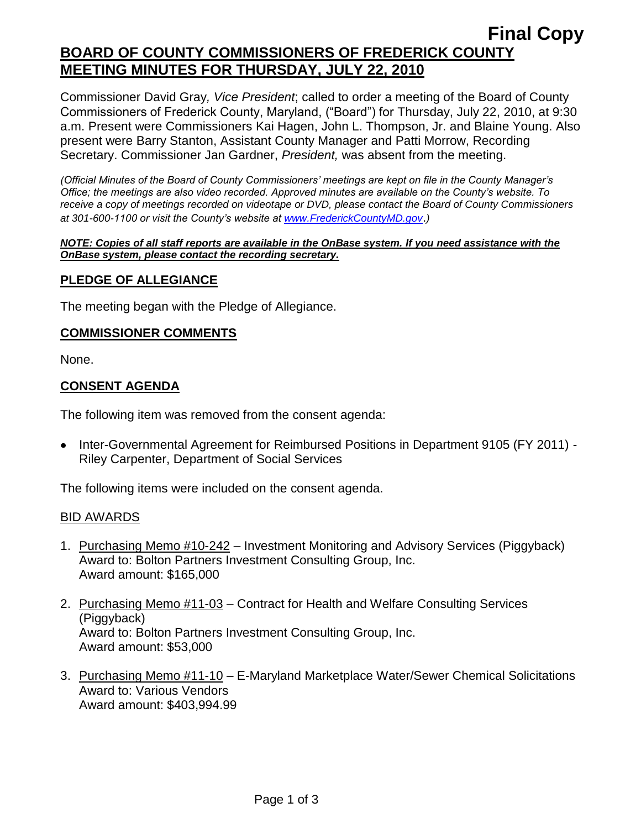Commissioner David Gray*, Vice President*; called to order a meeting of the Board of County Commissioners of Frederick County, Maryland, ("Board") for Thursday, July 22, 2010, at 9:30 a.m. Present were Commissioners Kai Hagen, John L. Thompson, Jr. and Blaine Young. Also present were Barry Stanton, Assistant County Manager and Patti Morrow, Recording Secretary. Commissioner Jan Gardner, *President,* was absent from the meeting.

*(Official Minutes of the Board of County Commissioners' meetings are kept on file in the County Manager's Office; the meetings are also video recorded. Approved minutes are available on the County's website. To receive a copy of meetings recorded on videotape or DVD, please contact the Board of County Commissioners at 301-600-1100 or visit the County's website at [www.FrederickCountyMD.gov](http://www.frederickcountymd.gov/)*.*)*

#### *NOTE: Copies of all staff reports are available in the OnBase system. If you need assistance with the OnBase system, please contact the recording secretary.*

## **PLEDGE OF ALLEGIANCE**

The meeting began with the Pledge of Allegiance.

### **COMMISSIONER COMMENTS**

None.

## **CONSENT AGENDA**

The following item was removed from the consent agenda:

Inter-Governmental Agreement for Reimbursed Positions in Department 9105 (FY 2011) - Riley Carpenter, Department of Social Services

The following items were included on the consent agenda.

## BID AWARDS

- 1. Purchasing Memo #10-242 Investment Monitoring and Advisory Services (Piggyback) Award to: Bolton Partners Investment Consulting Group, Inc. Award amount: \$165,000
- 2. Purchasing Memo #11-03 Contract for Health and Welfare Consulting Services (Piggyback) Award to: Bolton Partners Investment Consulting Group, Inc. Award amount: \$53,000
- 3. Purchasing Memo #11-10 E-Maryland Marketplace Water/Sewer Chemical Solicitations Award to: Various Vendors Award amount: \$403,994.99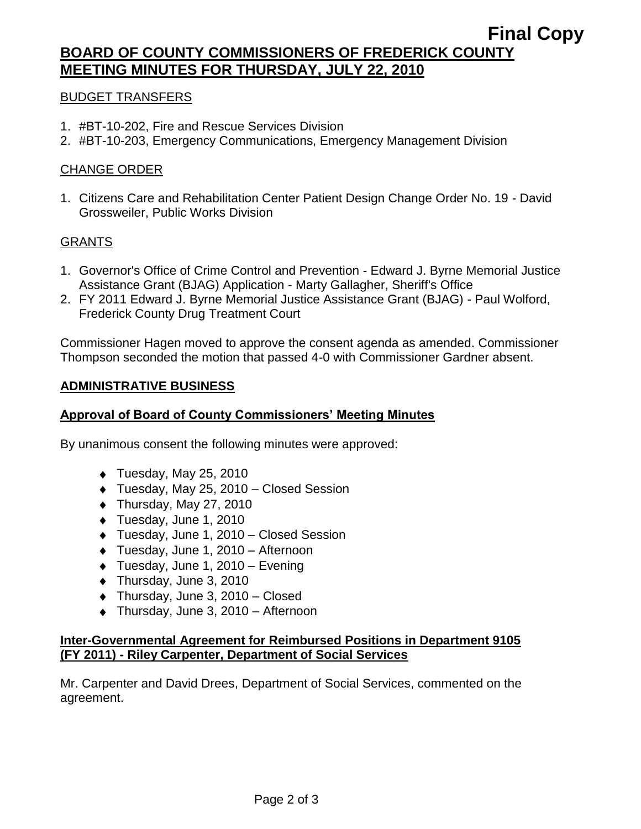# **BOARD OF COUNTY COMMISSIONERS OF FREDERICK COUNTY MEETING MINUTES FOR THURSDAY, JULY 22, 2010**

### BUDGET TRANSFERS

- 1. #BT-10-202, Fire and Rescue Services Division
- 2. #BT-10-203, Emergency Communications, Emergency Management Division

### CHANGE ORDER

1. Citizens Care and Rehabilitation Center Patient Design Change Order No. 19 - David Grossweiler, Public Works Division

### GRANTS

- 1. Governor's Office of Crime Control and Prevention Edward J. Byrne Memorial Justice Assistance Grant (BJAG) Application - Marty Gallagher, Sheriff's Office
- 2. FY 2011 Edward J. Byrne Memorial Justice Assistance Grant (BJAG) Paul Wolford, Frederick County Drug Treatment Court

Commissioner Hagen moved to approve the consent agenda as amended. Commissioner Thompson seconded the motion that passed 4-0 with Commissioner Gardner absent.

#### **ADMINISTRATIVE BUSINESS**

### **Approval of Board of County Commissioners' Meeting Minutes**

By unanimous consent the following minutes were approved:

- $\blacklozenge$  Tuesday, May 25, 2010
- Tuesday, May 25, 2010 Closed Session
- $\bullet$  Thursday, May 27, 2010
- ◆ Tuesday, June 1, 2010
- Tuesday, June 1, 2010 Closed Session
- Tuesday, June 1, 2010 Afternoon
- $\bullet$  Tuesday, June 1, 2010 Evening
- ◆ Thursday, June 3, 2010
- ◆ Thursday, June 3, 2010 Closed
- ◆ Thursday, June 3, 2010 Afternoon

#### **Inter-Governmental Agreement for Reimbursed Positions in Department 9105 (FY 2011) - Riley Carpenter, Department of Social Services**

Mr. Carpenter and David Drees, Department of Social Services, commented on the agreement.